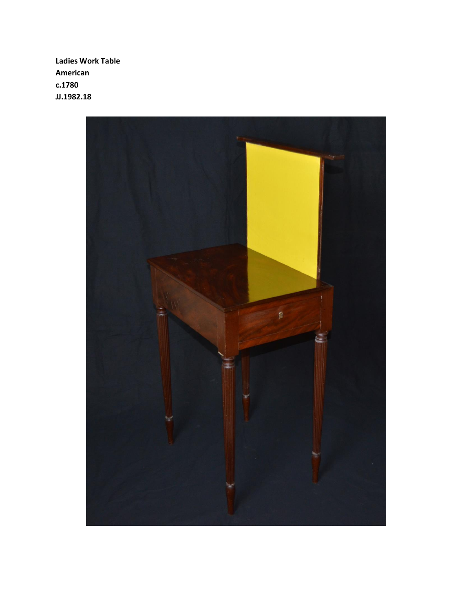**Ladies Work Table American c.1780 JJ.1982.18**